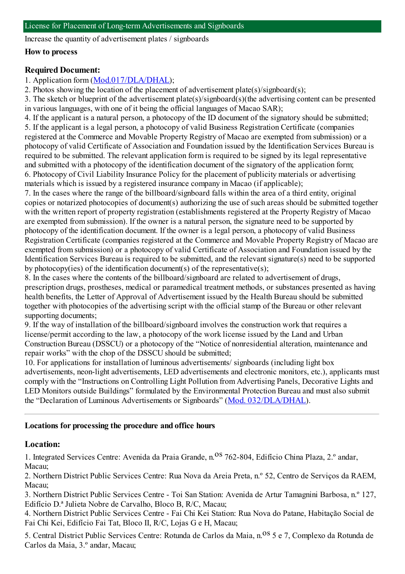Increase the quantity of advertisement plates / signboards

#### **How to process**

### **Required Document:**

### 1. Application form([Mod.017/DLA/DHAL](https://www.iam.gov.mo/c/pdf/eformDetail/PDF365));

2. Photos showing the location of the placement of advertisement plate(s)/signboard(s);

3. The sketch or blueprint of the advertisement plate(s)/signboard(s)(the advertising content can be presented in various languages, with one of it being the official languages of Macao SAR);

4. If the applicant is a natural person, a photocopy of the ID document of the signatory should be submitted; 5. If the applicant is a legal person, a photocopy of valid Business Registration Certificate (companies registered at the Commerce and Movable Property Registry of Macao are exempted fromsubmission) or a photocopy of valid Certificate of Association and Foundation issued by the Identification Services Bureau is required to be submitted. The relevant application formis required to be signed by its legal representative and submitted with a photocopy of the identification document of the signatory of the application form; 6. Photocopy of Civil Liability Insurance Policy for the placement of publicity materials or advertising materials which is issued by a registered insurance company in Macao (if applicable);

7. In the cases where the range of the billboard/signboard falls within the area of a third entity, original copies or notarized photocopies of document(s) authorizing the use of such areas should be submitted together with the written report of property registration (establishments registered at the Property Registry of Macao are exempted fromsubmission). If the owner is a natural person, the signature need to be supported by photocopy of the identification document. If the owner is a legal person, a photocopy of valid Business Registration Certificate (companies registered at the Commerce and Movable Property Registry of Macao are exempted fromsubmission) or a photocopy of valid Certificate of Association and Foundation issued by the Identification Services Bureau is required to be submitted, and the relevant signature(s) need to be supported by photocopy(ies) of the identification document(s) of the representative(s);

8. In the cases where the contents of the billboard/signboard are related to advertisement of drugs, prescription drugs, prostheses, medical or paramedical treatment methods, or substances presented as having health benefits, the Letter of Approval of Advertisement issued by the Health Bureau should be submitted together with photocopies of the advertising script with the official stamp of the Bureau or other relevant supporting documents;

9. If the way of installation of the billboard/signboard involves the construction work that requires a license/permit according to the law, a photocopy of the work license issued by the Land and Urban Construction Bureau (DSSCU) or a photocopy of the "Notice of nonresidential alteration, maintenance and repair works" with the chop of the DSSCU should be submitted;

10. For applications for installation of luminous advertisements/ signboards (including light box advertisements, neon-light advertisements, LED advertisements and electronic monitors, etc.), applicants must comply with the "Instructions on Controlling Light Pollution fromAdvertising Panels, Decorative Lights and LED Monitors outside Buildings" formulated by the Environmental Protection Bureau and must also submit the "Declaration of Luminous Advertisements or Signboards" (Mod. [032/DLA/DHAL](https://www.iam.gov.mo/c/pdf/eformDetail/PDF1073)).

#### **Locations for processing the procedure and office hours**

#### **Location:**

1. Integrated Services Centre: Avenida da Praia Grande, n. OS 762-804, Edifício China Plaza. 2.º andar. Macau;

2. Northern District Public Services Centre: Rua Nova da Areia Preta, n.º 52, Centro de Serviços da RAEM, Macau;

3. Northern District Public Services Centre - Toi San Station: Avenida de Artur Tamagnini Barbosa, n.º 127, Edifício D.ª Julieta Nobre de Carvalho, Bloco B, R/C, Macau;

4. Northern District Public Services Centre - Fai Chi Kei Station: Rua Nova do Patane, Habitação Social de Fai Chi Kei, Edifício Fai Tat, Bloco II, R/C, Lojas G e H, Macau;

5. Central District Public Services Centre: Rotunda de Carlos da Maia, n.<sup>0S</sup> 5 e 7, Complexo da Rotunda de Carlos da Maia, 3.º andar, Macau;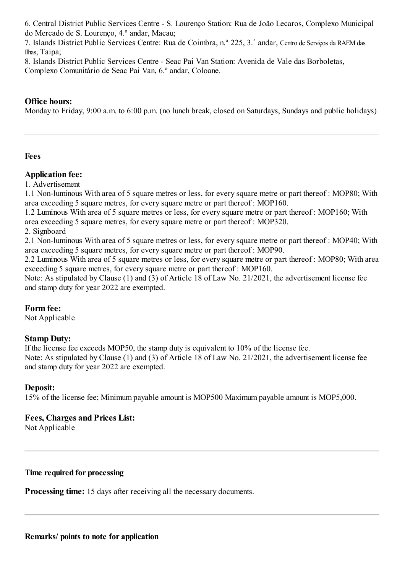6. Central District Public Services Centre - S. Lourenço Station: Rua de João Lecaros, Complexo Municipal do Mercado de S. Lourenço, 4.º andar, Macau;

7. Islands District Public Services Centre: Rua de Coimbra, n.º 225, 3.˚ andar, Centro de Serviços da RAEMdas Ilhas, Taipa;

8. Islands District Public Services Centre - Seac Pai Van Station: Avenida de Vale das Borboletas,

Complexo Comunitário de Seac Pai Van, 6.º andar, Coloane.

# **Office hours:**

Monday to Friday, 9:00 a.m. to 6:00 p.m. (no lunch break, closed on Saturdays, Sundays and public holidays)

## **Fees**

## **Application fee:**

1. Advertisement

1.1 Non-luminous With area of 5 square metres or less, for every square metre or part thereof : MOP80; With area exceeding 5 square metres, for every square metre or part thereof : MOP160.

1.2 Luminous With area of 5 square metres or less, for every square metre or part thereof : MOP160; With area exceeding 5 square metres, for every square metre or part thereof : MOP320.

2. Signboard

2.1 Non-luminous With area of 5 square metres or less, for every square metre or part thereof : MOP40; With area exceeding 5 square metres, for every square metre or part thereof : MOP90.

2.2 Luminous With area of 5 square metres or less, for every square metre or part thereof : MOP80; With area exceeding 5 square metres, for every square metre or part thereof : MOP160.

Note: As stipulated by Clause (1) and (3) of Article 18 of Law No. 21/2021, the advertisement license fee and stamp duty for year 2022 are exempted.

### **Form fee:**

Not Applicable

# **Stamp Duty:**

If the license fee exceeds MOP50, the stamp duty is equivalent to 10% of the license fee. Note: As stipulated by Clause (1) and (3) of Article 18 of Law No. 21/2021, the advertisement license fee

# **Deposit:**

15% of the license fee; Minimumpayable amount is MOP500 Maximumpayable amount is MOP5,000.

# **Fees, Charges and Prices List:**

and stamp duty for year 2022 are exempted.

Not Applicable

### **Time required for processing**

**Processing time:** 15 days after receiving all the necessary documents.